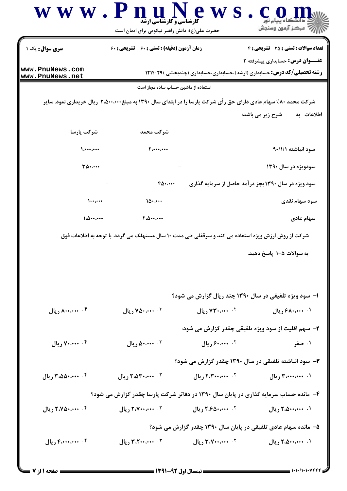| سری سوال: یک ۱                     | زمان آزمون (دقیقه) : تستی : ۶۰٪ تشریحی : ۶۰                                                                    |                        | <b>تعداد سوالات : تستی : 25 تشریحی : 4</b><br><b>عنـــوان درس:</b> حسابداری پیشرفته ۲ |
|------------------------------------|----------------------------------------------------------------------------------------------------------------|------------------------|---------------------------------------------------------------------------------------|
| www.PnuNews.com<br>www.PnuNews.net |                                                                                                                |                        | <b>رشته تحصیلی/کد درس:</b> حسابداری (ارشد)،حسابداری،حسابداری (چندبخشی )۲۱۴۰۲۹         |
|                                    | استفاده از ماشین حساب ساده مجاز است                                                                            |                        |                                                                                       |
|                                    | شرکت محمد ۸۰٪ سهام عادی دارای حق رأی شرکت پارسا را در ابتدای سال ۱۳۹۰ به مبلغ۲٬۵۰۰٬۰۰۰ ریال خریداری نمود. سایر |                        |                                                                                       |
|                                    |                                                                                                                |                        | اطلاعات به<br>شرح زیر می باشد:                                                        |
| شركت پارسا                         | شركت محمد                                                                                                      |                        |                                                                                       |
| 1.444.444                          | 5.444                                                                                                          |                        | سود انباشته ٩٠/١/١                                                                    |
| $T\Delta\cdot\cdots$               |                                                                                                                |                        | سودویژه در سال ۱۳۹۰                                                                   |
|                                    | 60                                                                                                             |                        | سود ویژه در سال ۱۳۹۰ بجز درآمد حاصل از سرمایه گذاری                                   |
| $\cdots$                           | 10                                                                                                             |                        | سود سهام نقدی                                                                         |
| 1.0                                | 7.0                                                                                                            |                        | سهام عادی                                                                             |
|                                    | شرکت از روش ارزش ویژه استفاده می کند و سرقفلی طی مدت ۱۰ سال مستهلک می گردد. با توجه به اطلاعات فوق             |                        |                                                                                       |
|                                    |                                                                                                                |                        | به سوالات ۵-۱ پاسخ دهید.                                                              |
|                                    |                                                                                                                |                        |                                                                                       |
|                                    |                                                                                                                |                        | ۱- سود ویژه تلفیقی در سال ۱۳۹۰ چند ریال گزارش می شود؟                                 |
| ۰۴ منصده ریال                      | ۰۳ من ۷۵۰٬۰۰۰ ریال                                                                                             | $1.3$ ۲۴۰٬۰۰۰ ریال $5$ | ۰۱ ۴۸۰٬۰۰۰ ریال                                                                       |
|                                    |                                                                                                                |                        | ۲- سهم اقلیت از سود ویژه تلفیقی چقدر گزارش می شود:                                    |
| ۰۴ . ۷۰،۰۰۰ ریال                   | ۰۳ منده ريال                                                                                                   | ۰۲ من ۶۰٬۰۰۰ ریال      | ۰۱ صفر                                                                                |
|                                    |                                                                                                                |                        | ۳- سود انباشته تلفیقی در سال ۱۳۹۰ چقدر گزارش می شود؟                                  |
| ۰۴ محمده ۳،۵۵۰٬۰۰۰                 | $1.25$ ۰٬۵۳۰٬۰۰۰ ریال                                                                                          | $1.7$ ۰۰٬۰۰۰٬۰۰۰ ریال  | ۰۱. ۴،۰۰۰،۰۰۰ ریال                                                                    |
|                                    | ۴- مانده حساب سرمایه گذاری در پایان سال ۱۳۹۰ در دفاتر شرکت پارسا چقدر گزارش می شود؟                            |                        |                                                                                       |
|                                    |                                                                                                                | ۰۲ ۴،۶۵۰٬۰۰۰ ریال      | ۰۱. ۲،۵۰۰،۰۰۰ ریال                                                                    |
| ۰۴ میل ۲،۷۵۰،۰۰۰ ریال              | ۰۳ میلی ۲،۷۰۰،۰۰۰ ریال                                                                                         |                        |                                                                                       |
|                                    |                                                                                                                |                        | ۵– مانده سهام عادی تلفیقی در پایان سال ۱۳۹۰ چقدر گزارش می شود؟                        |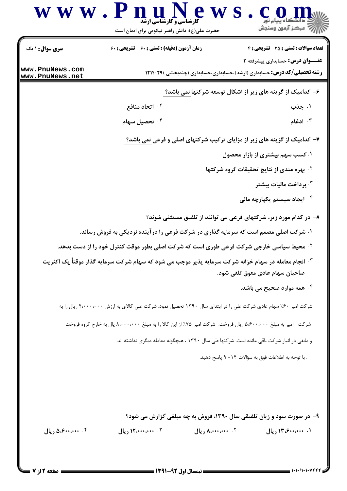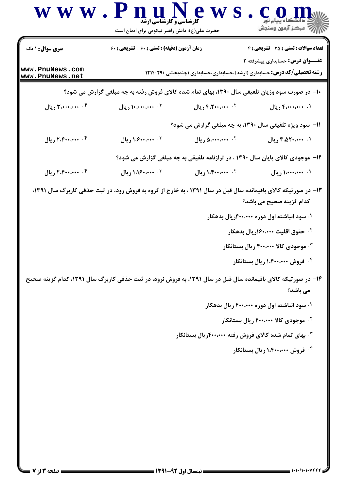| <b>سری سوال :</b> ۱ یک             | زمان آزمون (دقیقه) : تستی : 60 ٪ تشریحی : 60                                                                             |                                                                                | <b>تعداد سوالات : تستی : 25 ۔ تشریحی : 4</b>                                                                                                                                        |  |
|------------------------------------|--------------------------------------------------------------------------------------------------------------------------|--------------------------------------------------------------------------------|-------------------------------------------------------------------------------------------------------------------------------------------------------------------------------------|--|
| www.PnuNews.com<br>www.PnuNews.net | <b>عنـــوان درس:</b> حسابداری پیشرفته ۲<br><b>رشته تحصیلی/کد درس:</b> حسابداری (ارشد)،حسابداری،حسابداری (چندبخشی )۲۱۴۰۲۹ |                                                                                |                                                                                                                                                                                     |  |
|                                    | <b>۱۰- در صورت سود وزیان تلفیقی سال ۱۳۹۰، بهای تمام شده کالای فروش رفته به چه مبلغی گزارش می شود؟</b>                    |                                                                                |                                                                                                                                                                                     |  |
| ۰۴ منه ۳،۰۰۰،۰۰۰ ریال              | ۰۳ میلی ۱۰،۰۰۰٬۰۰۰ ریال                                                                                                  | ۰۲ ۴،۲۰۰،۰۰۰ ریال                                                              | ۰۱ ۴٬۰۰۰٬۰۰۰ ریال                                                                                                                                                                   |  |
|                                    |                                                                                                                          | <b>۱۱- سود ویژه تلفیقی سال ۱۳۹۰، به چه مبلغی گزارش می شود؟</b>                 |                                                                                                                                                                                     |  |
| ۰۴ منه ۲،۴۰۰،۰۰۰ ریال              | ۰۳ میله ۱،۶۰۰٬۰۰۰ ریال                                                                                                   | ۰۲ میلی ۵،۰۰۰،۰۰۰ ریال                                                         | ۰۱. ۴،۵۲۰،۰۰۰ ریال                                                                                                                                                                  |  |
|                                    |                                                                                                                          | ۱۲- موجودی کالای پایان سال ۱۳۹۰ ، در ترازنامه تلفیقی به چه مبلغی گزارش می شود؟ |                                                                                                                                                                                     |  |
| ۰۴ منه ۲،۴۰۰،۰۰۰ ریال              | ۰۳ میله ۱،۱۶۰٬۰۰۰                                                                                                        | ۰۲ ۱٬۴۰۰٬۰۰۰ ریال                                                              | ۰۱ میلی ۱٬۰۰۰٬۰۰۰ ریال                                                                                                                                                              |  |
|                                    | ۱۴- در صورتیکه کالای باقیمانده سال قبل در سال ۱۳۹۱، به فروش نرود، در ثبت حذفی کاربرگ سال ۱۳۹۱، کدام گزینه صحیح           |                                                                                | ۰۱ سود انباشته اول دوره ۴۰۰،۰۰۰ ریال بدهکار<br><sup>۲</sup> ۰ حقوق اقلیت ۱۶۰،۰۰۰(ریال بدهکار<br>۰۳ موجودی کالا ۴۰۰،۰۰۰ ریال بستانکار<br>۰۴ فروش ۱،۴۰۰،۰۰۰ ریال بستانکار<br>می باشد؟ |  |
|                                    |                                                                                                                          |                                                                                | ۰۱ سود انباشته اول دوره ۴۰۰،۰۰۰ ریال بدهکار                                                                                                                                         |  |
|                                    |                                                                                                                          |                                                                                | <sup>۲.</sup> موجودی کالا ۴۰۰،۰۰۰ ریال بستانکار                                                                                                                                     |  |
|                                    |                                                                                                                          | ۰۳ بهای تمام شده کالای فروش رفته ۴۰۰،۰۰۰ ریال بستانکار                         |                                                                                                                                                                                     |  |
|                                    |                                                                                                                          |                                                                                | ۰۴ فروش ۱،۴۰۰،۰۰۰ ریال بستانکار                                                                                                                                                     |  |
|                                    |                                                                                                                          |                                                                                |                                                                                                                                                                                     |  |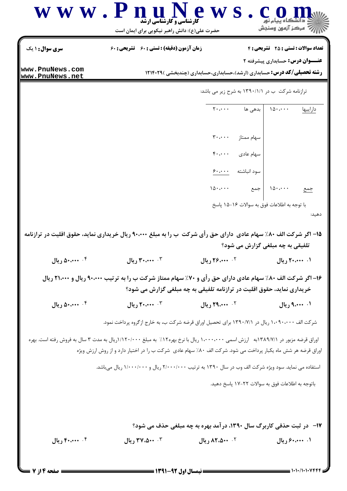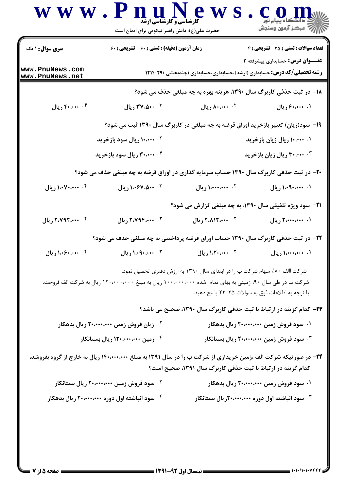|                                    | <b>کارشناسی و کارشناسی ارشد</b><br>حضرت علی(ع): دانش راهبر نیکویی برای ایمان است                                |                                                                                   | راز که مرکز آزمون وسنجش                               |
|------------------------------------|-----------------------------------------------------------------------------------------------------------------|-----------------------------------------------------------------------------------|-------------------------------------------------------|
| <b>سری سوال : ۱ یک</b>             | زمان آزمون (دقیقه) : تستی : 60 تشریحی : 60                                                                      |                                                                                   | <b>تعداد سوالات : تستی : 25 ۔ تشریحی : 4</b>          |
| www.PnuNews.com<br>www.PnuNews.net |                                                                                                                 | <b>رشته تحصیلی/کد درس:</b> حسابداری (ارشد)،حسابداری،حسابداری (چندبخشی )۲۱۴۰۲۹     | <b>عنـــوان درس:</b> حسابداری پیشرفته ۲               |
|                                    |                                                                                                                 | 18- در ثبت حذفی کاربرگ سال ۱۳۹۰، هزینه بهره به چه مبلغی حذف می شود؟               |                                                       |
| ۰۴ ۴۰،۰۰۰ ريال                     | ۰۳ ۴۷،۵۰۰ ریال                                                                                                  | ۰۲ ۸۰،۰۰۰ ریال                                                                    | ۰۱ ۶۰،۰۰۰ ریال                                        |
|                                    |                                                                                                                 | ۱۹- سود(زیان) تعبیر بازخرید اوراق قرضه به چه مبلغی در کاربرگ سال ۱۳۹۰ ثبت می شود؟ |                                                       |
|                                    | <b>۱۰،۰۰۰ ۰۲ ریال سود بازخرید</b>                                                                               |                                                                                   | ۰. ۱۰،۰۰۰ ریال زیان بازخرید                           |
|                                    | ۰۴ ۲۰،۰۰۰ ریال سود بازخرید                                                                                      | ۰۳ ۲۰،۰۰۰ ریال زیان بازخرید                                                       |                                                       |
|                                    | <b>۲۰</b> - در ثبت حذفی کاربرگ سال ۱۳۹۰ حساب سرمایه گذاری در اوراق قرضه به چه مبلغی حذف می شود؟                 |                                                                                   |                                                       |
| ۰۴ ۱،۰۷۰،۰۰۰ ریال                  | ۰۳ ۱،۰۶۷،۵۰۰ ریال                                                                                               | 1. 1. 1. 1. 1. 1. ريال                                                            | ۰۱ ۱٬۰۹۰٬۰۰۰ ریال                                     |
|                                    |                                                                                                                 | <b>۲۱</b> - سود ویژه تلفیقی سال ۱۳۹۰، به چه مبلغی گزارش می شود؟                   |                                                       |
| ۰۴ ۲،۷۹۲،۰۰۰ ريال                  | ۲. ۲،۷۹۴،۰۰۰ ریال                                                                                               | ۲. ۲،۸۱۲،۰۰۰ ریال                                                                 | ۰۱ میلم ۲،۰۰۰،۰۰۰ ریال                                |
|                                    | ۲۲- در ثبت حذفی کاربرگ سال ۱۳۹۰ حساب اوراق قرضه پرداختنی به چه مبلغی حذف می شود؟                                |                                                                                   |                                                       |
| ۰۴ منه ۱،۰۶۰ ريال                  | ۰۳ مند ۱،۰۹۰،۰۰۰ ریال                                                                                           | <sup>1.</sup> ۱٬۲۰٬۰۰۰ ریال                                                       | ۰۱ میلی ۱٬۰۰۰٬۰۰۰ ریال                                |
|                                    |                                                                                                                 | شرکت االف ۸۰٪ سهام شرکت ب را در ابتدای سال ۱۳۹۰ به ارزش دفتری تحصیل نمود.         |                                                       |
|                                    | شرکت ب در طی سال ۹۰، زمینی به بهای تمام شده ۱۰۰،۰۰۰،۰۰۰ ریال به مبلغ ۱۲۰،۰۰۰،۰۰۰ ریال به شرکت الف فروخت.        | با توجه به اطلاعات فوق به سوالات ۲۵–۲۳ پاسخ دهید.                                 |                                                       |
|                                    |                                                                                                                 | ۲۳- کدام گزینه در ارتباط با ثبت حذفی کاربرگ سال ۱۳۹۰، صحیح می باشد؟               |                                                       |
|                                    | <sup>۲</sup> ۰ زیان فروش زمین ۲۰،۰۰۰،۰۰۰ ریال بدهکار                                                            | ۰۱ سود فروش زمین ۲۰،۰۰۰،۰۰۰ ریال بدهکار                                           |                                                       |
|                                    | ۰۴ زمین ۱۲۰،۰۰۰،۰۰۰ ریال بستانکار                                                                               | سود فروش زمین ۲۰،۰۰۰،۰۰۰ ریال بستانکار $\cdot$                                    |                                                       |
|                                    | ۲۴- در صورتیکه شرکت الف ،زمین خریداری از شرکت ب را در سال ۱۳۹۱ به مبلغ ۱۴۰٬۰۰۰٬۰۰۰ ریال به خارج از گروه بفروشد، | کدام گزینه در ارتباط با ثبت حذفی کاربرگ سال ۱۳۹۱، صحیح است؟                       |                                                       |
|                                    | ۰ <sup>۲</sup> سود فروش زمین ۲۰،۰۰۰،۰۰۰ ریال بستانکار                                                           |                                                                                   | ۰۱ سود فروش زمین ۲۰،۰۰۰،۰۰۰ ریال بدهکار               |
|                                    | ۰۴ سود انباشته اول دوره ۲۰،۰۰۰،۰۰۰ ریال بدهکار                                                                  |                                                                                   | سود انباشته اول دوره ۲۰۰،۰۰۰،۰۰۰ریال بستانکار $\cdot$ |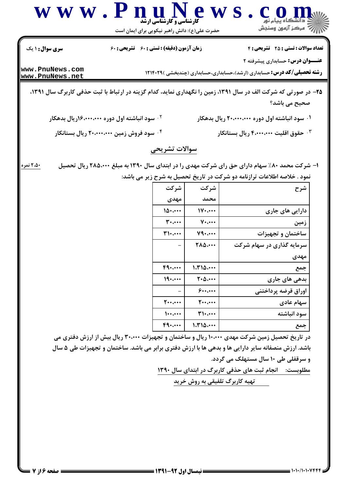| www.PnuNews<br>حضرت علی(ع): دانش راهبر نیکویی برای ایمان است                                                   | <b>گارشناسی و گارشناسی ارشد</b> |                  | رُرِ ۖ مرڪز آزمون وسنڊش                                                                                                  |  |
|----------------------------------------------------------------------------------------------------------------|---------------------------------|------------------|--------------------------------------------------------------------------------------------------------------------------|--|
| زمان آزمون (دقیقه) : تستی : 60 ٪ تشریحی : 60<br><b>سری سوال :</b> ۱ یک                                         |                                 |                  | <b>تعداد سوالات : تستی : 25 ۔ تشریحی : 4</b>                                                                             |  |
| www.PnuNews.com<br>www.PnuNews.net                                                                             |                                 |                  | <b>عنـــوان درس:</b> حسابداری پیشرفته ۲<br><b>رشته تحصیلی/کد درس:</b> حسابداری (ارشد)،حسابداری،حسابداری (چندبخشی )۲۱۴۰۲۹ |  |
| ۲۵- در صورتی که شرکت الف در سال ۱۳۹۱، زمین را نگهداری نماید، کدام گزینه در ارتباط با ثبت حذفی کاربرگ سال ۱۳۹۱، |                                 |                  | صحیح می باشد؟                                                                                                            |  |
| <sup>۲.</sup> سود انباشته اول دوره ۱۶،۰۰۰،۰۰۰(ریال بدهکار                                                      |                                 |                  | ۰۱ سود انباشته اول دوره ۲۰،۰۰۰،۰۰۰ ریال بدهکار                                                                           |  |
| ۰۴ سود فروش زمین ۲۰،۰۰۰،۰۰۰ ریال بستانکار                                                                      |                                 |                  | خقوق اقلیت ۴٬۰۰۰٬۰۰۰ ریال بستانکار $\cdot$                                                                               |  |
|                                                                                                                | سوالات تشريحي                   |                  |                                                                                                                          |  |
| ۲،۵۰ نمره                                                                                                      |                                 |                  | ا- شرکت محمد ۸۰٪ سهام دارای حق رای شرکت مهدی را در ابتدای سال ۱۳۹۰ به مبلغ ۲۸۵،۰۰۰ ریال تحصیل                            |  |
|                                                                                                                |                                 |                  | نمود . خلاصه اطلاعات ترازنامه دو شرکت در تاریخ تحصیل به شرح زیر می باشد:                                                 |  |
|                                                                                                                | شركت<br>مهدى                    | شر کت<br>محمد    | شرح                                                                                                                      |  |
|                                                                                                                | 10                              | $W \cdot \cdots$ | دارایی های جاری                                                                                                          |  |
|                                                                                                                | $T^*$                           | $V \cdot \cdots$ | زمین                                                                                                                     |  |
|                                                                                                                | $T$ $\cdot$                     | V9               | ساختمان و تجهیزات                                                                                                        |  |
|                                                                                                                |                                 | <b>TAD</b>       | سرمایه گذاری در سهام شرکت                                                                                                |  |

در تاریخ تحصیل زمین شرکت مهدی ۱۰،۰۰۰ ریال و ساختمان و تجهیزات ۳۰،۰۰۰ ریال بیش از ارزش دفتری می باشد. ارزش منصفانه سایر دارایی ها و بدهی ها با ارزش دفتری برابر می باشد. ساختمان و تجهیزات طی ۵ سال و سرقفلی طی ۱۰ سال مستهلک می گردد. مطلوبست: انجام ثبت های حذفی کاربرگ در ابتدای سال ١٣٩٠ تهیه کاربرگ تلفیقی به روش خرید

 $F9...$ 

 $19...$ 

 $\mathbf{y} \cdot \mathbf{y} \cdot \mathbf{y}$ 

 $\mathcal{L}$ 

 $F9...$ 

 $\frac{1}{2}$ 

 $1.710...$ 

 $T \cdot \Delta \cdots$ 

 $9......$ 

 $\gamma$ ...

 $T1$ ....

 $1.710...$ 

مهدى

جمع

جمع

بدهی های جاری

سهام عادی سود انباشته

اوراق قرضه پرداختنی